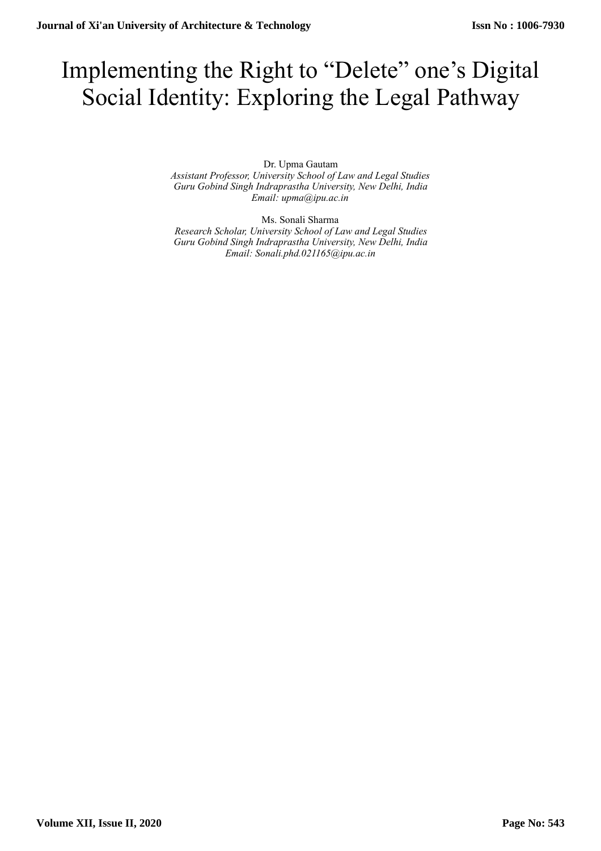# Implementing the Right to "Delete" one's Digital Social Identity: Exploring the Legal Pathway

Dr. Upma Gautam

*Assistant Professor, University School of Law and Legal Studies Guru Gobind Singh Indraprastha University, New Delhi, India Email: upma@ipu.ac.in* 

Ms. Sonali Sharma *Research Scholar, University School of Law and Legal Studies Guru Gobind Singh Indraprastha University, New Delhi, India Email: Sonali.phd.021165@ipu.ac.in*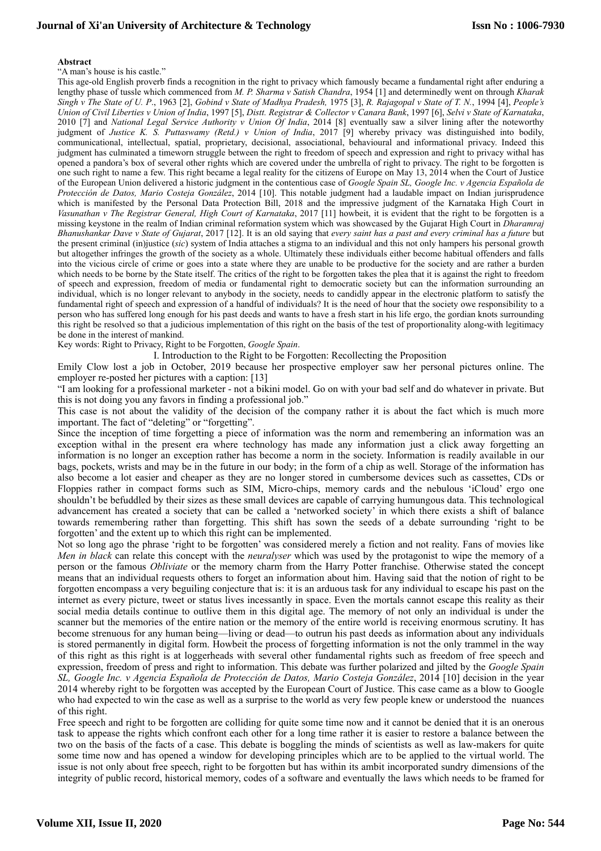## **Journal of Xi'an University of Architecture & Technology**

#### **Abstract**

"A man's house is his castle."

This age-old English proverb finds a recognition in the right to privacy which famously became a fundamental right after enduring a lengthy phase of tussle which commenced from *M. P. Sharma v Satish Chandra*, 1954 [1] and determinedly went on through *Kharak Singh v The State of U. P*., 1963 [2], *Gobind v State of Madhya Pradesh,* 1975 [3], *R. Rajagopal v State of T. N.*, 1994 [4], *People's Union of Civil Liberties v Union of India*, 1997 [5], *Distt. Registrar & Collector v Canara Bank*, 1997 [6], *Selvi v State of Karnataka*, 2010 [7] and *National Legal Service Authority v Union Of India*, 2014 [8] eventually saw a silver lining after the noteworthy judgment of *Justice K. S. Puttaswamy (Retd.) v Union of India*, 2017 [9] whereby privacy was distinguished into bodily, communicational, intellectual, spatial, proprietary, decisional, associational, behavioural and informational privacy. Indeed this judgment has culminated a timeworn struggle between the right to freedom of speech and expression and right to privacy withal has opened a pandora's box of several other rights which are covered under the umbrella of right to privacy. The right to be forgotten is one such right to name a few. This right became a legal reality for the citizens of Europe on May 13, 2014 when the Court of Justice of the European Union delivered a historic judgment in the contentious case of *Google Spain SL, Google Inc. v Agencia Española de Protección de Datos, Mario Costeja González*, 2014 [10]. This notable judgment had a laudable impact on Indian jurisprudence which is manifested by the Personal Data Protection Bill, 2018 and the impressive judgment of the Karnataka High Court in *Vasunathan v The Registrar General, High Court of Karnataka*, 2017 [11] howbeit, it is evident that the right to be forgotten is a missing keystone in the realm of Indian criminal reformation system which was showcased by the Gujarat High Court in *Dharamraj Bhanushankar Dave v State of Gujarat*, 2017 [12]. It is an old saying that *every saint has a past and every criminal has a future* but the present criminal (in)justice (*sic*) system of India attaches a stigma to an individual and this not only hampers his personal growth but altogether infringes the growth of the society as a whole. Ultimately these individuals either become habitual offenders and falls into the vicious circle of crime or goes into a state where they are unable to be productive for the society and are rather a burden which needs to be borne by the State itself. The critics of the right to be forgotten takes the plea that it is against the right to freedom of speech and expression, freedom of media or fundamental right to democratic society but can the information surrounding an individual, which is no longer relevant to anybody in the society, needs to candidly appear in the electronic platform to satisfy the fundamental right of speech and expression of a handful of individuals? It is the need of hour that the society owe responsibility to a person who has suffered long enough for his past deeds and wants to have a fresh start in his life ergo, the gordian knots surrounding this right be resolved so that a judicious implementation of this right on the basis of the test of proportionality along-with legitimacy be done in the interest of mankind.

Key words: Right to Privacy, Right to be Forgotten, *Google Spain*.

I. Introduction to the Right to be Forgotten: Recollecting the Proposition

Emily Clow lost a job in October, 2019 because her prospective employer saw her personal pictures online. The employer re-posted her pictures with a caption: [13]

"I am looking for a professional marketer - not a bikini model. Go on with your bad self and do whatever in private. But this is not doing you any favors in finding a professional job."

This case is not about the validity of the decision of the company rather it is about the fact which is much more important. The fact of "deleting" or "forgetting".

Since the inception of time forgetting a piece of information was the norm and remembering an information was an exception withal in the present era where technology has made any information just a click away forgetting an information is no longer an exception rather has become a norm in the society. Information is readily available in our bags, pockets, wrists and may be in the future in our body; in the form of a chip as well. Storage of the information has also become a lot easier and cheaper as they are no longer stored in cumbersome devices such as cassettes, CDs or Floppies rather in compact forms such as SIM, Micro-chips, memory cards and the nebulous 'iCloud' ergo one shouldn't be befuddled by their sizes as these small devices are capable of carrying humungous data. This technological advancement has created a society that can be called a 'networked society' in which there exists a shift of balance towards remembering rather than forgetting. This shift has sown the seeds of a debate surrounding 'right to be forgotten' and the extent up to which this right can be implemented.

Not so long ago the phrase 'right to be forgotten' was considered merely a fiction and not reality. Fans of movies like *Men in black* can relate this concept with the *neuralyser* which was used by the protagonist to wipe the memory of a person or the famous *Obliviate* or the memory charm from the Harry Potter franchise. Otherwise stated the concept means that an individual requests others to forget an information about him. Having said that the notion of right to be forgotten encompass a very beguiling conjecture that is: it is an arduous task for any individual to escape his past on the internet as every picture, tweet or status lives incessantly in space. Even the mortals cannot escape this reality as their social media details continue to outlive them in this digital age. The memory of not only an individual is under the scanner but the memories of the entire nation or the memory of the entire world is receiving enormous scrutiny. It has become strenuous for any human being—living or dead—to outrun his past deeds as information about any individuals is stored permanently in digital form. Howbeit the process of forgetting information is not the only trammel in the way of this right as this right is at loggerheads with several other fundamental rights such as freedom of free speech and expression, freedom of press and right to information. This debate was further polarized and jilted by the *Google Spain SL, Google Inc. v Agencia Española de Protección de Datos, Mario Costeja González*, 2014 [10] decision in the year 2014 whereby right to be forgotten was accepted by the European Court of Justice. This case came as a blow to Google who had expected to win the case as well as a surprise to the world as very few people knew or understood the nuances of this right.

Free speech and right to be forgotten are colliding for quite some time now and it cannot be denied that it is an onerous task to appease the rights which confront each other for a long time rather it is easier to restore a balance between the two on the basis of the facts of a case. This debate is boggling the minds of scientists as well as law-makers for quite some time now and has opened a window for developing principles which are to be applied to the virtual world. The issue is not only about free speech, right to be forgotten but has within its ambit incorporated sundry dimensions of the integrity of public record, historical memory, codes of a software and eventually the laws which needs to be framed for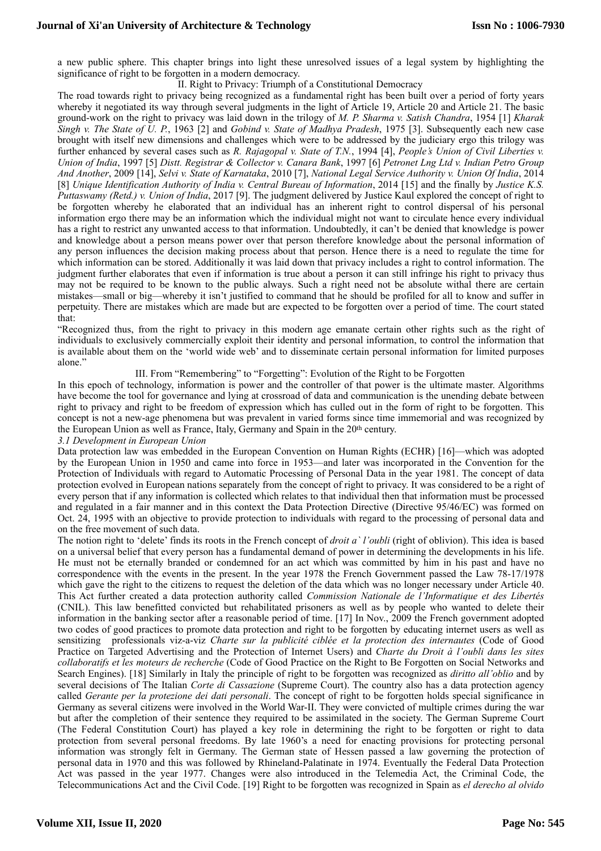a new public sphere. This chapter brings into light these unresolved issues of a legal system by highlighting the significance of right to be forgotten in a modern democracy.

II. Right to Privacy: Triumph of a Constitutional Democracy

The road towards right to privacy being recognized as a fundamental right has been built over a period of forty years whereby it negotiated its way through several judgments in the light of Article 19, Article 20 and Article 21. The basic ground-work on the right to privacy was laid down in the trilogy of *M. P. Sharma v. Satish Chandra*, 1954 [1] *Kharak Singh v. The State of U. P.*, 1963 [2] and *Gobind v. State of Madhya Pradesh*, 1975 [3]. Subsequently each new case brought with itself new dimensions and challenges which were to be addressed by the judiciary ergo this trilogy was further enhanced by several cases such as *R. Rajagopal v. State of T.N.*, 1994 [4], *People's Union of Civil Liberties v. Union of India*, 1997 [5] *Distt. Registrar & Collector v. Canara Bank*, 1997 [6] *Petronet Lng Ltd v. Indian Petro Group And Another*, 2009 [14], *Selvi v. State of Karnataka*, 2010 [7], *National Legal Service Authority v. Union Of India*, 2014 [8] *Unique Identification Authority of India v. Central Bureau of Information*, 2014 [15] and the finally by *Justice K.S. Puttaswamy (Retd.) v. Union of India*, 2017 [9]. The judgment delivered by Justice Kaul explored the concept of right to be forgotten whereby he elaborated that an individual has an inherent right to control dispersal of his personal information ergo there may be an information which the individual might not want to circulate hence every individual has a right to restrict any unwanted access to that information. Undoubtedly, it can't be denied that knowledge is power and knowledge about a person means power over that person therefore knowledge about the personal information of any person influences the decision making process about that person. Hence there is a need to regulate the time for which information can be stored. Additionally it was laid down that privacy includes a right to control information. The judgment further elaborates that even if information is true about a person it can still infringe his right to privacy thus may not be required to be known to the public always. Such a right need not be absolute withal there are certain mistakes—small or big—whereby it isn't justified to command that he should be profiled for all to know and suffer in perpetuity. There are mistakes which are made but are expected to be forgotten over a period of time. The court stated that:

"Recognized thus, from the right to privacy in this modern age emanate certain other rights such as the right of individuals to exclusively commercially exploit their identity and personal information, to control the information that is available about them on the 'world wide web' and to disseminate certain personal information for limited purposes alone."

III. From "Remembering" to "Forgetting": Evolution of the Right to be Forgotten

In this epoch of technology, information is power and the controller of that power is the ultimate master. Algorithms have become the tool for governance and lying at crossroad of data and communication is the unending debate between right to privacy and right to be freedom of expression which has culled out in the form of right to be forgotten. This concept is not a new-age phenomena but was prevalent in varied forms since time immemorial and was recognized by the European Union as well as France, Italy, Germany and Spain in the 20<sup>th</sup> century.

*3.1 Development in European Union* 

Data protection law was embedded in the European Convention on Human Rights (ECHR) [16]—which was adopted by the European Union in 1950 and came into force in 1953—and later was incorporated in the Convention for the Protection of Individuals with regard to Automatic Processing of Personal Data in the year 1981. The concept of data protection evolved in European nations separately from the concept of right to privacy. It was considered to be a right of every person that if any information is collected which relates to that individual then that information must be processed and regulated in a fair manner and in this context the Data Protection Directive (Directive 95/46/EC) was formed on Oct. 24, 1995 with an objective to provide protection to individuals with regard to the processing of personal data and on the free movement of such data.

The notion right to 'delete' finds its roots in the French concept of *droit a` l'oubli* (right of oblivion). This idea is based on a universal belief that every person has a fundamental demand of power in determining the developments in his life. He must not be eternally branded or condemned for an act which was committed by him in his past and have no correspondence with the events in the present. In the year 1978 the French Government passed the Law 78-17/1978 which gave the right to the citizens to request the deletion of the data which was no longer necessary under Article 40. This Act further created a data protection authority called *Commission Nationale de l'Informatique et des Libertés* (CNIL). This law benefitted convicted but rehabilitated prisoners as well as by people who wanted to delete their information in the banking sector after a reasonable period of time. [17] In Nov., 2009 the French government adopted two codes of good practices to promote data protection and right to be forgotten by educating internet users as well as sensitizing professionals viz-a-viz *Charte sur la publicité ciblée et la protection des internautes* (Code of Good Practice on Targeted Advertising and the Protection of Internet Users) and *Charte du Droit à l'oubli dans les sites collaboratifs et les moteurs de recherche* (Code of Good Practice on the Right to Be Forgotten on Social Networks and Search Engines). [18] Similarly in Italy the principle of right to be forgotten was recognized as *diritto all'oblio* and by several decisions of The Italian *Corte di Cassazione* (Supreme Court). The country also has a data protection agency called *Gerante per la protezione dei dati personali*. The concept of right to be forgotten holds special significance in Germany as several citizens were involved in the World War-II. They were convicted of multiple crimes during the war but after the completion of their sentence they required to be assimilated in the society. The German Supreme Court (The Federal Constitution Court) has played a key role in determining the right to be forgotten or right to data protection from several personal freedoms. By late 1960's a need for enacting provisions for protecting personal information was strongly felt in Germany. The German state of Hessen passed a law governing the protection of personal data in 1970 and this was followed by Rhineland-Palatinate in 1974. Eventually the Federal Data Protection Act was passed in the year 1977. Changes were also introduced in the Telemedia Act, the Criminal Code, the Telecommunications Act and the Civil Code. [19] Right to be forgotten was recognized in Spain as *el derecho al olvido*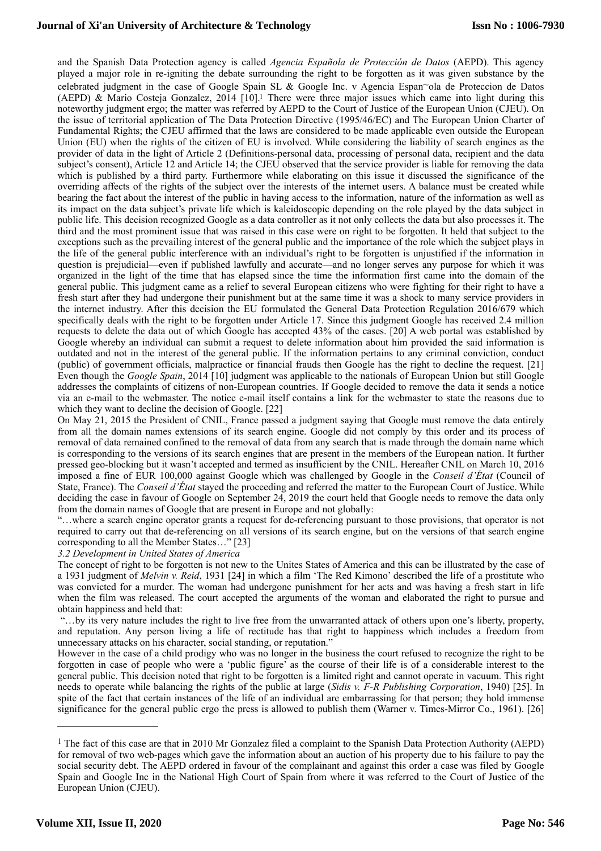## **Journal of Xi'an University of Architecture & Technology**

<span id="page-3-1"></span>and the Spanish Data Protection agency is called *Agencia Española de Protección de Datos* (AEPD). This agency played a major role in re-igniting the debate surrounding the right to be forgotten as it was given substance by the celebrated judgment in the case of Google Spain SL & Google Inc. v Agencia Espan~ola de Proteccion de Datos (AEPD)  $\&$  Mario Costeja Gonzalez, 20[1](#page-3-0)4 [10].<sup>1</sup> There were three major issues which came into light during this noteworthy judgment ergo; the matter was referred by AEPD to the Court of Justice of the European Union (CJEU). On the issue of territorial application of The Data Protection Directive (1995/46/EC) and The European Union Charter of Fundamental Rights; the CJEU affirmed that the laws are considered to be made applicable even outside the European Union (EU) when the rights of the citizen of EU is involved. While considering the liability of search engines as the provider of data in the light of Article 2 (Definitions-personal data, processing of personal data, recipient and the data subject's consent), Article 12 and Article 14; the CJEU observed that the service provider is liable for removing the data which is published by a third party. Furthermore while elaborating on this issue it discussed the significance of the overriding affects of the rights of the subject over the interests of the internet users. A balance must be created while bearing the fact about the interest of the public in having access to the information, nature of the information as well as its impact on the data subject's private life which is kaleidoscopic depending on the role played by the data subject in public life. This decision recognized Google as a data controller as it not only collects the data but also processes it. The third and the most prominent issue that was raised in this case were on right to be forgotten. It held that subject to the exceptions such as the prevailing interest of the general public and the importance of the role which the subject plays in the life of the general public interference with an individual's right to be forgotten is unjustified if the information in question is prejudicial—even if published lawfully and accurate—and no longer serves any purpose for which it was organized in the light of the time that has elapsed since the time the information first came into the domain of the general public. This judgment came as a relief to several European citizens who were fighting for their right to have a fresh start after they had undergone their punishment but at the same time it was a shock to many service providers in the internet industry. After this decision the EU formulated the General Data Protection Regulation 2016/679 which specifically deals with the right to be forgotten under Article 17. Since this judgment Google has received 2.4 million requests to delete the data out of which Google has accepted 43% of the cases. [20] A web portal was established by Google whereby an individual can submit a request to delete information about him provided the said information is outdated and not in the interest of the general public. If the information pertains to any criminal conviction, conduct (public) of government officials, malpractice or financial frauds then Google has the right to decline the request. [21] Even though the *Google Spain*, 2014 [10] judgment was applicable to the nationals of European Union but still Google addresses the complaints of citizens of non-European countries. If Google decided to remove the data it sends a notice via an e-mail to the webmaster. The notice e-mail itself contains a link for the webmaster to state the reasons due to which they want to decline the decision of Google. [22]

On May 21, 2015 the President of CNIL, France passed a judgment saying that Google must remove the data entirely from all the domain names extensions of its search engine. Google did not comply by this order and its process of removal of data remained confined to the removal of data from any search that is made through the domain name which is corresponding to the versions of its search engines that are present in the members of the European nation. It further pressed geo-blocking but it wasn't accepted and termed as insufficient by the CNIL. Hereafter CNIL on March 10, 2016 imposed a fine of EUR 100,000 against Google which was challenged by Google in the *Conseil d'État* (Council of State, France). The *Conseil d'État* stayed the proceeding and referred the matter to the European Court of Justice. While deciding the case in favour of Google on September 24, 2019 the court held that Google needs to remove the data only from the domain names of Google that are present in Europe and not globally:

"…where a search engine operator grants a request for de-referencing pursuant to those provisions, that operator is not required to carry out that de-referencing on all versions of its search engine, but on the versions of that search engine corresponding to all the Member States…" [23]

### *3.2 Development in United States of America*

The concept of right to be forgotten is not new to the Unites States of America and this can be illustrated by the case of a 1931 judgment of *Melvin v. Reid*, 1931 [24] in which a film 'The Red Kimono' described the life of a prostitute who was convicted for a murder. The woman had undergone punishment for her acts and was having a fresh start in life when the film was released. The court accepted the arguments of the woman and elaborated the right to pursue and obtain happiness and held that:

 "…by its very nature includes the right to live free from the unwarranted attack of others upon one's liberty, property, and reputation. Any person living a life of rectitude has that right to happiness which includes a freedom from unnecessary attacks on his character, social standing, or reputation."

However in the case of a child prodigy who was no longer in the business the court refused to recognize the right to be forgotten in case of people who were a 'public figure' as the course of their life is of a considerable interest to the general public. This decision noted that right to be forgotten is a limited right and cannot operate in vacuum. This right needs to operate while balancing the rights of the public at large (*Sidis v. F-R Publishing Corporation*, 1940) [25]. In spite of the fact that certain instances of the life of an individual are embarrassing for that person; they hold immense significance for the general public ergo the press is allowed to publish them (Warner v. Times-Mirror Co., 1961). [26]

<span id="page-3-0"></span><sup>&</sup>lt;sup>[1](#page-3-1)</sup> The fact of this case are that in 2010 Mr Gonzalez filed a complaint to the Spanish Data Protection Authority (AEPD) for removal of two web-pages which gave the information about an auction of his property due to his failure to pay the social security debt. The AEPD ordered in favour of the complainant and against this order a case was filed by Google Spain and Google Inc in the National High Court of Spain from where it was referred to the Court of Justice of the European Union (CJEU).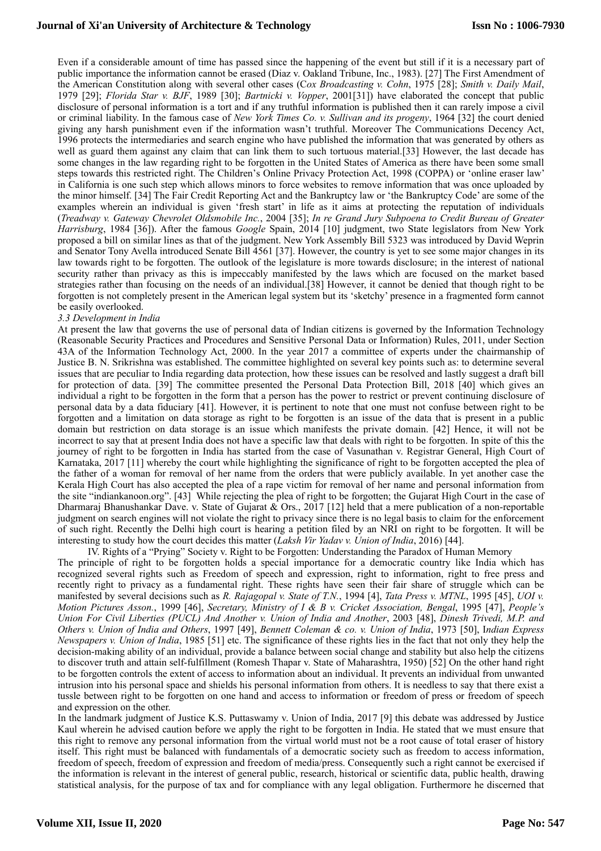## **Journal of Xi'an University of Architecture & Technology**

Even if a considerable amount of time has passed since the happening of the event but still if it is a necessary part of public importance the information cannot be erased (Diaz v. Oakland Tribune, Inc., 1983). [27] The First Amendment of the American Constitution along with several other cases (C*ox Broadcasting v. Cohn*, 1975 [28]; *Smith v. Daily Mail*, 1979 [29]; *Florida Star v. BJF*, 1989 [30]; *Bartnicki v. Vopper*, 2001[31]) have elaborated the concept that public disclosure of personal information is a tort and if any truthful information is published then it can rarely impose a civil or criminal liability. In the famous case of *New York Times Co. v. Sullivan and its progeny*, 1964 [32] the court denied giving any harsh punishment even if the information wasn't truthful. Moreover The Communications Decency Act, 1996 protects the intermediaries and search engine who have published the information that was generated by others as well as guard them against any claim that can link them to such tortuous material.[33] However, the last decade has some changes in the law regarding right to be forgotten in the United States of America as there have been some small steps towards this restricted right. The Children's Online Privacy Protection Act, 1998 (COPPA) or 'online eraser law' in California is one such step which allows minors to force websites to remove information that was once uploaded by the minor himself. [34] The Fair Credit Reporting Act and the Bankruptcy law or 'the Bankruptcy Code' are some of the examples wherein an individual is given 'fresh start' in life as it aims at protecting the reputation of individuals (*Treadway v. Gateway Chevrolet Oldsmobile Inc.*, 2004 [35]; *In re Grand Jury Subpoena to Credit Bureau of Greater Harrisburg*, 1984 [36]). After the famous *Google* Spain, 2014 [10] judgment, two State legislators from New York proposed a bill on similar lines as that of the judgment. New York Assembly Bill 5323 was introduced by David Weprin and Senator Tony Avella introduced Senate Bill 4561 [37]. However, the country is yet to see some major changes in its law towards right to be forgotten. The outlook of the legislature is more towards disclosure; in the interest of national security rather than privacy as this is impeccably manifested by the laws which are focused on the market based strategies rather than focusing on the needs of an individual.[38] However, it cannot be denied that though right to be forgotten is not completely present in the American legal system but its 'sketchy' presence in a fragmented form cannot be easily overlooked.

#### *3.3 Development in India*

At present the law that governs the use of personal data of Indian citizens is governed by the Information Technology (Reasonable Security Practices and Procedures and Sensitive Personal Data or Information) Rules, 2011, under Section 43A of the Information Technology Act, 2000. In the year 2017 a committee of experts under the chairmanship of Justice B. N. Srikrishna was established. The committee highlighted on several key points such as: to determine several issues that are peculiar to India regarding data protection, how these issues can be resolved and lastly suggest a draft bill for protection of data. [39] The committee presented the Personal Data Protection Bill, 2018 [40] which gives an individual a right to be forgotten in the form that a person has the power to restrict or prevent continuing disclosure of personal data by a data fiduciary [41]. However, it is pertinent to note that one must not confuse between right to be forgotten and a limitation on data storage as right to be forgotten is an issue of the data that is present in a public domain but restriction on data storage is an issue which manifests the private domain. [42] Hence, it will not be incorrect to say that at present India does not have a specific law that deals with right to be forgotten. In spite of this the journey of right to be forgotten in India has started from the case of Vasunathan v. Registrar General, High Court of Karnataka, 2017 [11] whereby the court while highlighting the significance of right to be forgotten accepted the plea of the father of a woman for removal of her name from the orders that were publicly available. In yet another case the Kerala High Court has also accepted the plea of a rape victim for removal of her name and personal information from the site ["indiankanoon.org"](http://indiankanoon.org). [43] While rejecting the plea of right to be forgotten; the Gujarat High Court in the case of Dharmaraj Bhanushankar Dave. v. State of Gujarat & Ors., 2017 [12] held that a mere publication of a non-reportable judgment on search engines will not violate the right to privacy since there is no legal basis to claim for the enforcement of such right. Recently the Delhi high court is hearing a petition filed by an NRI on right to be forgotten. It will be interesting to study how the court decides this matter (*Laksh Vir Yadav v. Union of India*, 2016) [44].

IV. Rights of a "Prying" Society v. Right to be Forgotten: Understanding the Paradox of Human Memory The principle of right to be forgotten holds a special importance for a democratic country like India which has recognized several rights such as Freedom of speech and expression, right to information, right to free press and recently right to privacy as a fundamental right. These rights have seen their fair share of struggle which can be manifested by several decisions such as *R. Rajagopal v. State of T.N.*, 1994 [4], *Tata Press v. MTNL*, 1995 [45], *UOI v. Motion Pictures Asson.*, 1999 [46], *Secretary, Ministry of I & B v. Cricket Association, Bengal*, 1995 [47], *People's Union For Civil Liberties (PUCL) And Another v. Union of India and Another*, 2003 [48], *Dinesh Trivedi, M.P. and Others v. Union of India and Others*, 1997 [49], *Bennett Coleman & co. v. Union of India*, 1973 [50], I*ndian Express Newspapers v. Union of India*, 1985 [51] etc. The significance of these rights lies in the fact that not only they help the decision-making ability of an individual, provide a balance between social change and stability but also help the citizens to discover truth and attain self-fulfillment (Romesh Thapar v. State of Maharashtra, 1950) [52] On the other hand right to be forgotten controls the extent of access to information about an individual. It prevents an individual from unwanted intrusion into his personal space and shields his personal information from others. It is needless to say that there exist a tussle between right to be forgotten on one hand and access to information or freedom of press or freedom of speech and expression on the other.

In the landmark judgment of Justice K.S. Puttaswamy v. Union of India, 2017 [9] this debate was addressed by Justice Kaul wherein he advised caution before we apply the right to be forgotten in India. He stated that we must ensure that this right to remove any personal information from the virtual world must not be a root cause of total eraser of history itself. This right must be balanced with fundamentals of a democratic society such as freedom to access information, freedom of speech, freedom of expression and freedom of media/press. Consequently such a right cannot be exercised if the information is relevant in the interest of general public, research, historical or scientific data, public health, drawing statistical analysis, for the purpose of tax and for compliance with any legal obligation. Furthermore he discerned that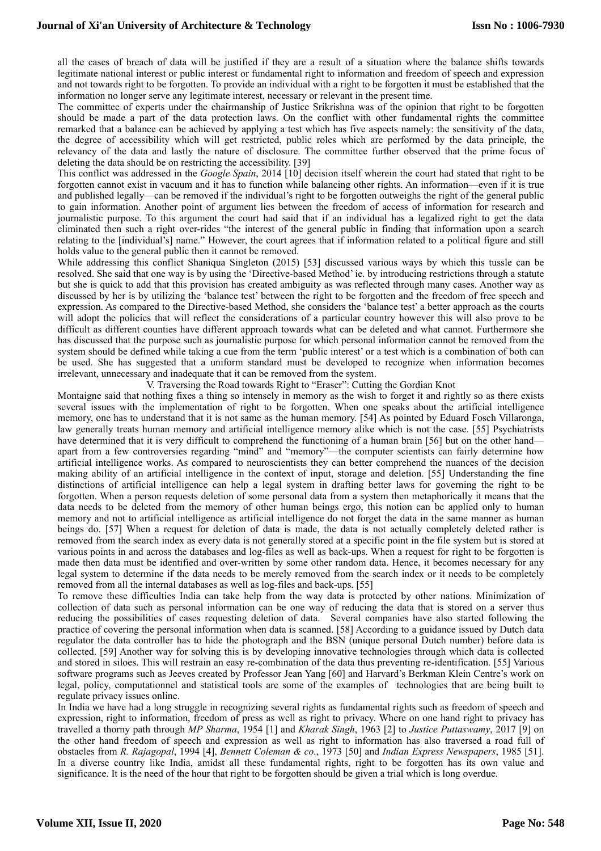all the cases of breach of data will be justified if they are a result of a situation where the balance shifts towards legitimate national interest or public interest or fundamental right to information and freedom of speech and expression and not towards right to be forgotten. To provide an individual with a right to be forgotten it must be established that the information no longer serve any legitimate interest, necessary or relevant in the present time.

The committee of experts under the chairmanship of Justice Srikrishna was of the opinion that right to be forgotten should be made a part of the data protection laws. On the conflict with other fundamental rights the committee remarked that a balance can be achieved by applying a test which has five aspects namely: the sensitivity of the data, the degree of accessibility which will get restricted, public roles which are performed by the data principle, the relevancy of the data and lastly the nature of disclosure. The committee further observed that the prime focus of deleting the data should be on restricting the accessibility. [39]

This conflict was addressed in the *Google Spain*, 2014 [10] decision itself wherein the court had stated that right to be forgotten cannot exist in vacuum and it has to function while balancing other rights. An information—even if it is true and published legally—can be removed if the individual's right to be forgotten outweighs the right of the general public to gain information. Another point of argument lies between the freedom of access of information for research and journalistic purpose. To this argument the court had said that if an individual has a legalized right to get the data eliminated then such a right over-rides "the interest of the general public in finding that information upon a search relating to the [individual's] name." However, the court agrees that if information related to a political figure and still holds value to the general public then it cannot be removed.

While addressing this conflict Shaniqua Singleton (2015) [53] discussed various ways by which this tussle can be resolved. She said that one way is by using the 'Directive-based Method' ie. by introducing restrictions through a statute but she is quick to add that this provision has created ambiguity as was reflected through many cases. Another way as discussed by her is by utilizing the 'balance test' between the right to be forgotten and the freedom of free speech and expression. As compared to the Directive-based Method, she considers the 'balance test' a better approach as the courts will adopt the policies that will reflect the considerations of a particular country however this will also prove to be difficult as different counties have different approach towards what can be deleted and what cannot. Furthermore she has discussed that the purpose such as journalistic purpose for which personal information cannot be removed from the system should be defined while taking a cue from the term 'public interest' or a test which is a combination of both can be used. She has suggested that a uniform standard must be developed to recognize when information becomes irrelevant, unnecessary and inadequate that it can be removed from the system.

V. Traversing the Road towards Right to "Eraser": Cutting the Gordian Knot

Montaigne said that nothing fixes a thing so intensely in memory as the wish to forget it and rightly so as there exists several issues with the implementation of right to be forgotten. When one speaks about the artificial intelligence memory, one has to understand that it is not same as the human memory. [54] As pointed by Eduard Fosch Villaronga, law generally treats human memory and artificial intelligence memory alike which is not the case. [55] Psychiatrists have determined that it is very difficult to comprehend the functioning of a human brain [56] but on the other hand apart from a few controversies regarding "mind" and "memory"—the computer scientists can fairly determine how artificial intelligence works. As compared to neuroscientists they can better comprehend the nuances of the decision making ability of an artificial intelligence in the context of input, storage and deletion. [55] Understanding the fine distinctions of artificial intelligence can help a legal system in drafting better laws for governing the right to be forgotten. When a person requests deletion of some personal data from a system then metaphorically it means that the data needs to be deleted from the memory of other human beings ergo, this notion can be applied only to human memory and not to artificial intelligence as artificial intelligence do not forget the data in the same manner as human beings do. [57] When a request for deletion of data is made, the data is not actually completely deleted rather is removed from the search index as every data is not generally stored at a specific point in the file system but is stored at various points in and across the databases and log-files as well as back-ups. When a request for right to be forgotten is made then data must be identified and over-written by some other random data. Hence, it becomes necessary for any legal system to determine if the data needs to be merely removed from the search index or it needs to be completely removed from all the internal databases as well as log-files and back-ups. [55]

To remove these difficulties India can take help from the way data is protected by other nations. Minimization of collection of data such as personal information can be one way of reducing the data that is stored on a server thus reducing the possibilities of cases requesting deletion of data. Several companies have also started following the practice of covering the personal information when data is scanned. [58] According to a guidance issued by Dutch data regulator the data controller has to hide the photograph and the BSN (unique personal Dutch number) before data is collected. [59] Another way for solving this is by developing innovative technologies through which data is collected and stored in siloes. This will restrain an easy re-combination of the data thus preventing re-identification. [55] Various software programs such as Jeeves created by Professor Jean Yang [60] and Harvard's Berkman Klein Centre's work on legal, policy, computationnel and statistical tools are some of the examples of technologies that are being built to regulate privacy issues online.

In India we have had a long struggle in recognizing several rights as fundamental rights such as freedom of speech and expression, right to information, freedom of press as well as right to privacy. Where on one hand right to privacy has travelled a thorny path through *MP Sharma*, 1954 [1] and *Kharak Singh*, 1963 [2] to *Justice Puttaswamy*, 2017 [9] on the other hand freedom of speech and expression as well as right to information has also traversed a road full of obstacles from *R. Rajagopal*, 1994 [4], *Bennett Coleman & co.*, 1973 [50] and *Indian Express Newspapers*, 1985 [51]. In a diverse country like India, amidst all these fundamental rights, right to be forgotten has its own value and significance. It is the need of the hour that right to be forgotten should be given a trial which is long overdue.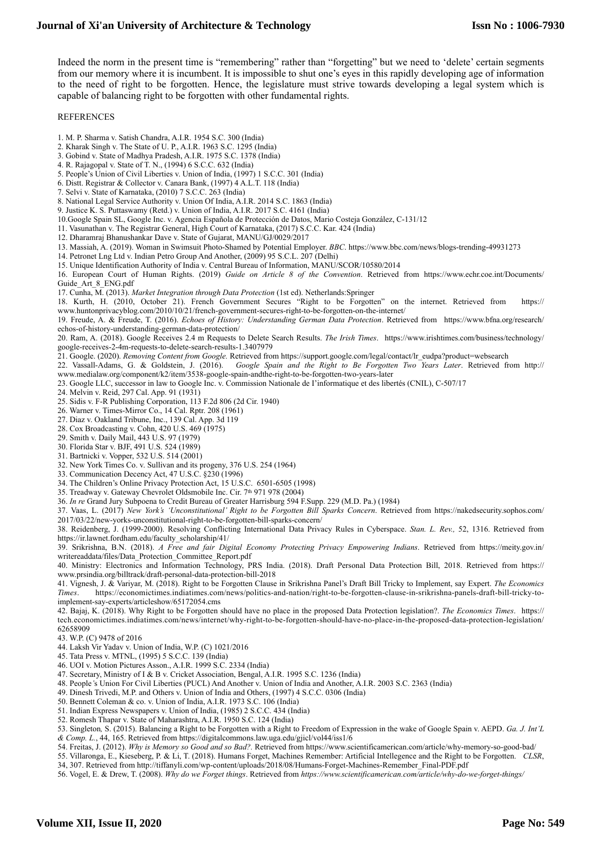Indeed the norm in the present time is "remembering" rather than "forgetting" but we need to 'delete' certain segments from our memory where it is incumbent. It is impossible to shut one's eyes in this rapidly developing age of information to the need of right to be forgotten. Hence, the legislature must strive towards developing a legal system which is capable of balancing right to be forgotten with other fundamental rights.

#### REFERENCES

- 1. M. P. Sharma v. Satish Chandra, A.I.R. 1954 S.C. 300 (India)
- 2. Kharak Singh v. The State of U. P., A.I.R. 1963 S.C. 1295 (India)
- 3. Gobind v. State of Madhya Pradesh, A.I.R. 1975 S.C. 1378 (India)
- 4. R. Rajagopal v. State of T. N., (1994) 6 S.C.C. 632 (India)
- 5. People's Union of Civil Liberties v. Union of India, (1997) 1 S.C.C. 301 (India)
- 6. Distt. Registrar & Collector v. Canara Bank, (1997) 4 A.L.T. 118 (India)
- 7. Selvi v. State of Karnataka, (2010) 7 S.C.C. 263 (India)
- 8. National Legal Service Authority v. Union Of India, A.I.R. 2014 S.C. 1863 (India)
- 9. Justice K. S. Puttaswamy (Retd.) v. Union of India, A.I.R. 2017 S.C. 4161 (India)
- 10.Google Spain SL, Google Inc. v. Agencia Española de Protección de Datos, Mario Costeja González, C-131/12
- 11. Vasunathan v. The Registrar General, High Court of Karnataka, (2017) S.C.C. Kar. 424 (India)
- 12. Dharamraj Bhanushankar Dave v. State of Gujarat, MANU/GJ/0029/2017
- 13. Massiah, A. (2019). Woman in Swimsuit Photo-Shamed by Potential Employer. *BBC*.<https://www.bbc.com/news/blogs-trending-49931273>
- 14. Petronet Lng Ltd v. Indian Petro Group And Another, (2009) 95 S.C.L. 207 (Delhi)
- 15. Unique Identification Authority of India v. Central Bureau of Information, MANU/SCOR/10580/2014

16. European Court of Human Rights. (2019) *Guide on Article 8 of the Convention*. Retrieved from https://www.echr.coe.int/Documents/ Guide\_Art\_8\_ENG.pdf

- 17. Cunha, M. (2013). *Market Integration through Data Protection* (1st ed). Netherlands:Springer
- 18. Kurth, H. (2010, October 21). French Government Secures "Right to be Forgotten" on the internet. Retrieved from [https://](https://www.huntonprivacyblog.com/2010/10/21/french-government-secures-right-to-be-forgotten-on-the-internet/) [www.huntonprivacyblog.com/2010/10/21/french-government-secures-right-to-be-forgotten-on-the-internet/](https://www.huntonprivacyblog.com/2010/10/21/french-government-secures-right-to-be-forgotten-on-the-internet/)

19. Freude, A. & Freude, T. (2016). *Echoes of History: Understanding German Data Protection*. Retrieved from [https://www.bfna.org/research/](https://www.bfna.org/research/echos-of-history-understanding-german-data-protection/) [echos-of-history-understanding-german-data-protection/](https://www.bfna.org/research/echos-of-history-understanding-german-data-protection/)

20. Ram, A. (2018). Google Receives 2.4 m Requests to Delete Search Results. *The Irish Times*. [https://www.irishtimes.com/business/technology/](https://www.irishtimes.com/business/technology/google-receives-2-4m-requests-to-delete-search-results-1.3407979) [google-receives-2-4m-requests-to-delete-search-results-1.3407979](https://www.irishtimes.com/business/technology/google-receives-2-4m-requests-to-delete-search-results-1.3407979)

- 21. Google. (2020). *Removing Content from Google.* Retrieved from [https://support.google.com/legal/contact/lr\\_eudpa?product=websearch](https://support.google.com/legal/contact/lr_eudpa?product=websearch)
- 22. Vassall-Adams, G. & Goldstein, J. (2016). *Google Spain and the Right to Be Forgotten Two Years Later*. Retrieved from http:// www.medialaw.org/component/k2/item/3538-google-spain-andthe-right-to-be-forgotten-two-years-later
- 23. Google LLC, successor in law to Google Inc. v. Commission Nationale de I'informatique et des libertés (CNIL), C-507/17
- 24. Melvin v. Reid, 297 Cal. App. 91 (1931)
- 25. Sidis v. F-R Publishing Corporation, 113 F.2d 806 (2d Cir. 1940)
- 26. Warner v. Times-Mirror Co., 14 Cal. Rptr. 208 (1961)
- 27. Diaz v. Oakland Tribune, Inc., 139 Cal. App. 3d 119
- 28. Cox Broadcasting v. Cohn, 420 U.S. 469 (1975)
- 29. Smith v. Daily Mail, 443 U.S. 97 (1979)
- 30. Florida Star v. BJF, 491 U.S. 524 (1989)
- 31. Bartnicki v. Vopper, 532 U.S. 514 (2001)
- 32. New York Times Co. v. Sullivan and its progeny, 376 U.S. 254 (1964)
- 33. Communication Decency Act, 47 U.S.C. §230 (1996)
- 34. The Children's Online Privacy Protection Act, 15 U.S.C. 6501-6505 (1998)
- 35. Treadway v. Gateway Chevrolet Oldsmobile Inc. Cir. 7th 971 978 (2004)
- 36. *In re* Grand Jury Subpoena to Credit Bureau of Greater Harrisburg 594 F.Supp. 229 (M.D. Pa.) (1984)

37. Vaas, L. (2017) *New York's 'Unconstitutional' Right to be Forgotten Bill Sparks Concern*. Retrieved from https://nakedsecurity.sophos.com/ 2017/03/22/new-yorks-unconstitutional-right-to-be-forgotten-bill-sparks-concern/

38. Reidenberg, J. (1999-2000). Resolving Conflicting International Data Privacy Rules in Cyberspace. *Stan. L. Rev.,* 52, 1316. Retrieved from https://ir.lawnet.fordham.edu/faculty\_scholarship/41/

39. Srikrishna, B.N. (2018). *A Free and fair Digital Economy Protecting Privacy Empowering Indians*. Retrieved from https://meity.gov.in/ writereaddata/files/Data\_Protection\_Committee\_Report.pdf

40. Ministry: Electronics and Information Technology, PRS India. (2018). Draft Personal Data Protection Bill, 2018. Retrieved from https:// www.prsindia.org/billtrack/draft-personal-data-protection-bill-2018

41. Vignesh, J. & Variyar, M. (2018). Right to be Forgotten Clause in Srikrishna Panel's Draft Bill Tricky to Implement, say Expert. *The Economics Times*. https://economictimes.indiatimes.com/news/politics-and-nation/right-to-be-forgotten-clause-in-srikrishna-panels-draft-bill-tricky-toimplement-say-experts/articleshow/65172054.cms

42. Bajaj, K. (2018). Why Right to be Forgotten should have no place in the proposed Data Protection legislation?. *The Economics Times*. https:// tech.economictimes.indiatimes.com/news/internet/why-right-to-be-forgotten-should-have-no-place-in-the-proposed-data-protection-legislation/ 62658909

43. W.P. (C) 9478 of 2016

44. Laksh Vir Yadav v. Union of India, W.P. (C) 1021/2016

- 45. Tata Press v. MTNL, (1995) 5 S.C.C. 139 (India)
- 46. UOI v. Motion Pictures Asson., A.I.R. 1999 S.C. 2334 (India)
- 47. Secretary, Ministry of I & B v. Cricket Association, Bengal, A.I.R. 1995 S.C. 1236 (India)
- 48. People*'*s Union For Civil Liberties (PUCL) And Another v. Union of India and Another, A.I.R. 2003 S.C. 2363 (India)
- 49. Dinesh Trivedi, M.P. and Others v. Union of India and Others, (1997) 4 S.C.C. 0306 (India)
- 50. Bennett Coleman & co. v. Union of India, A.I.R. 1973 S.C. 106 (India)
- 51. Indian Express Newspapers v. Union of India, (1985) 2 S.C.C. 434 (India)
- 52. Romesh Thapar v. State of Maharashtra, A.I.R. 1950 S.C. 124 (India)

53. Singleton*,* S. (2015). Balancing a Right to be Forgotten with a Right to Freedom of Expression in the wake of Google Spain v. AEPD. *Ga. J. Int'L & Comp. L.*, 44, 165. Retrieved from https://digitalcommons.law.uga.edu/gjicl/vol44/iss1/6

54. Freitas, J. (2012). *Why is Memory so Good and so Bad?.* Retrieved from https://www.scientificamerican.com/article/why-memory-so-good-bad/

- 55. Villaronga, E., Kieseberg, P. & Li, T. (2018). Humans Forget, Machines Remember: Artificial Intellegence and the Right to be Forgotten. *CLSR*,
- 34, 307. Retrieved from http://tiffanyli.com/wp-content/uploads/2018/08/Humans-Forget-Machines-Remember\_Final-PDF.pdf
- 56. Vogel, E. & Drew, T. (2008). *Why do we Forget things*. Retrieved from *https://www.scientificamerican.com/article/why-do-we-forget-things/*